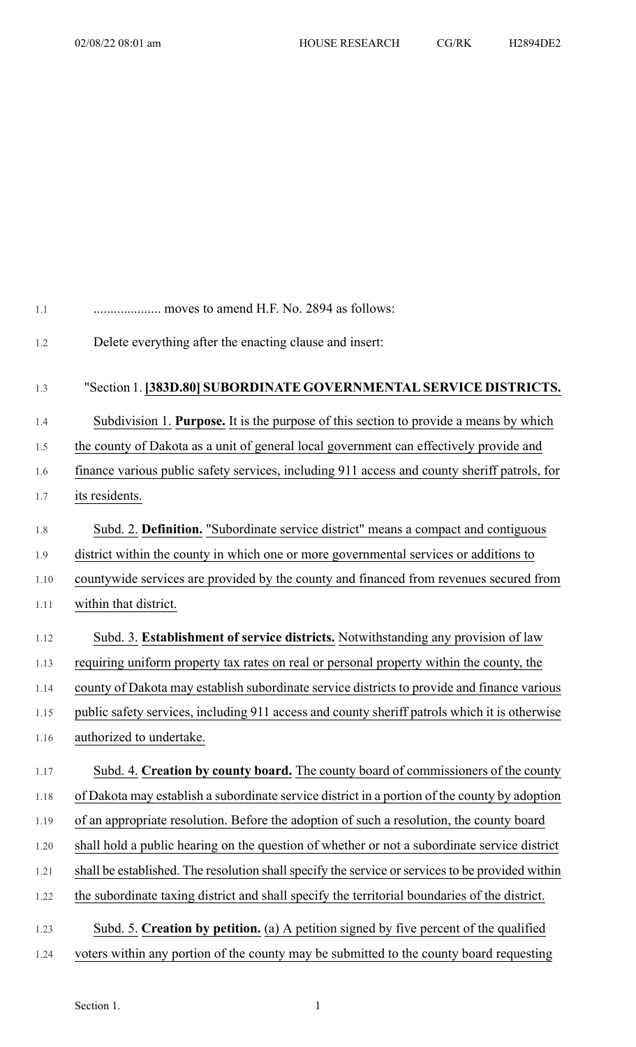| moves to amend H.F. No. 2894 as follows:                                                         |
|--------------------------------------------------------------------------------------------------|
| Delete everything after the enacting clause and insert:                                          |
| "Section 1. [383D.80] SUBORDINATE GOVERNMENTAL SERVICE DISTRICTS.                                |
| Subdivision 1. Purpose. It is the purpose of this section to provide a means by which            |
| the county of Dakota as a unit of general local government can effectively provide and           |
| finance various public safety services, including 911 access and county sheriff patrols, for     |
| its residents.                                                                                   |
| Subd. 2. Definition. "Subordinate service district" means a compact and contiguous               |
| district within the county in which one or more governmental services or additions to            |
| countywide services are provided by the county and financed from revenues secured from           |
| within that district.                                                                            |
| Subd. 3. Establishment of service districts. Notwithstanding any provision of law                |
| requiring uniform property tax rates on real or personal property within the county, the         |
| county of Dakota may establish subordinate service districts to provide and finance various      |
| public safety services, including 911 access and county sheriff patrols which it is otherwise    |
| authorized to undertake.                                                                         |
| Subd. 4. Creation by county board. The county board of commissioners of the county               |
| of Dakota may establish a subordinate service district in a portion of the county by adoption    |
| of an appropriate resolution. Before the adoption of such a resolution, the county board         |
| shall hold a public hearing on the question of whether or not a subordinate service district     |
| shall be established. The resolution shall specify the service or services to be provided within |
| the subordinate taxing district and shall specify the territorial boundaries of the district.    |
| Subd. 5. Creation by petition. (a) A petition signed by five percent of the qualified            |
| voters within any portion of the county may be submitted to the county board requesting          |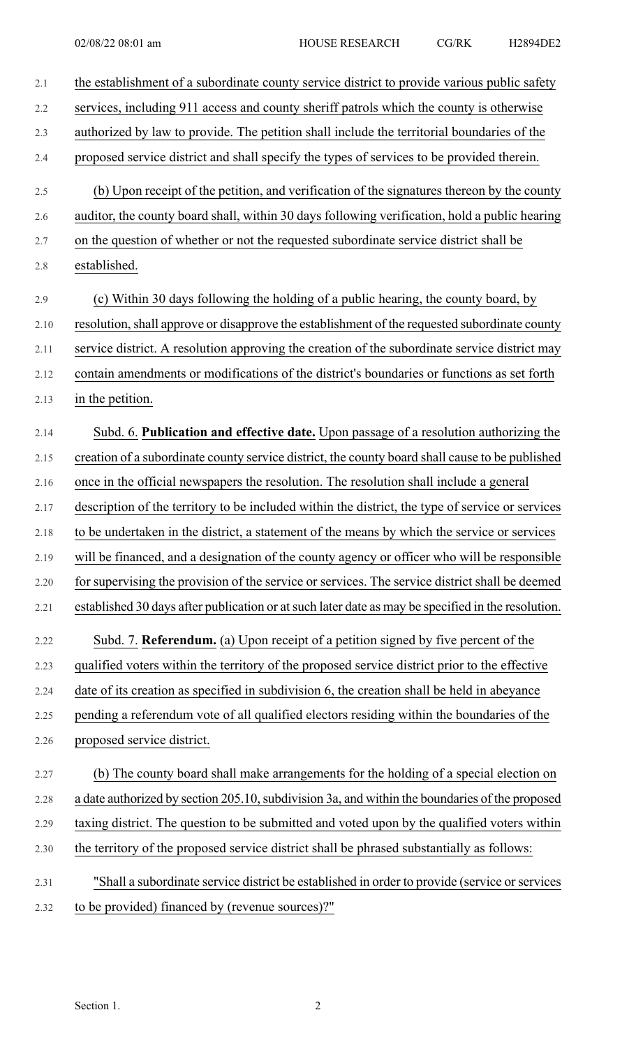| 2.1  | the establishment of a subordinate county service district to provide various public safety        |
|------|----------------------------------------------------------------------------------------------------|
| 2.2  | services, including 911 access and county sheriff patrols which the county is otherwise            |
| 2.3  | authorized by law to provide. The petition shall include the territorial boundaries of the         |
| 2.4  | proposed service district and shall specify the types of services to be provided therein.          |
| 2.5  | (b) Upon receipt of the petition, and verification of the signatures thereon by the county         |
| 2.6  | auditor, the county board shall, within 30 days following verification, hold a public hearing      |
| 2.7  | on the question of whether or not the requested subordinate service district shall be              |
| 2.8  | established.                                                                                       |
| 2.9  | (c) Within 30 days following the holding of a public hearing, the county board, by                 |
| 2.10 | resolution, shall approve or disapprove the establishment of the requested subordinate county      |
| 2.11 | service district. A resolution approving the creation of the subordinate service district may      |
| 2.12 | contain amendments or modifications of the district's boundaries or functions as set forth         |
| 2.13 | in the petition.                                                                                   |
| 2.14 | Subd. 6. Publication and effective date. Upon passage of a resolution authorizing the              |
| 2.15 | creation of a subordinate county service district, the county board shall cause to be published    |
| 2.16 | once in the official newspapers the resolution. The resolution shall include a general             |
| 2.17 | description of the territory to be included within the district, the type of service or services   |
| 2.18 | to be undertaken in the district, a statement of the means by which the service or services        |
| 2.19 | will be financed, and a designation of the county agency or officer who will be responsible        |
| 2.20 | for supervising the provision of the service or services. The service district shall be deemed     |
| 2.21 | established 30 days after publication or at such later date as may be specified in the resolution. |
| 2.22 | Subd. 7. Referendum. (a) Upon receipt of a petition signed by five percent of the                  |
| 2.23 | qualified voters within the territory of the proposed service district prior to the effective      |
| 2.24 | date of its creation as specified in subdivision 6, the creation shall be held in abeyance         |
| 2.25 | pending a referendum vote of all qualified electors residing within the boundaries of the          |
| 2.26 | proposed service district.                                                                         |
| 2.27 | (b) The county board shall make arrangements for the holding of a special election on              |
| 2.28 | a date authorized by section 205.10, subdivision 3a, and within the boundaries of the proposed     |
| 2.29 | taxing district. The question to be submitted and voted upon by the qualified voters within        |
| 2.30 | the territory of the proposed service district shall be phrased substantially as follows:          |
| 2.31 | "Shall a subordinate service district be established in order to provide (service or services      |
| 2.32 | to be provided) financed by (revenue sources)?"                                                    |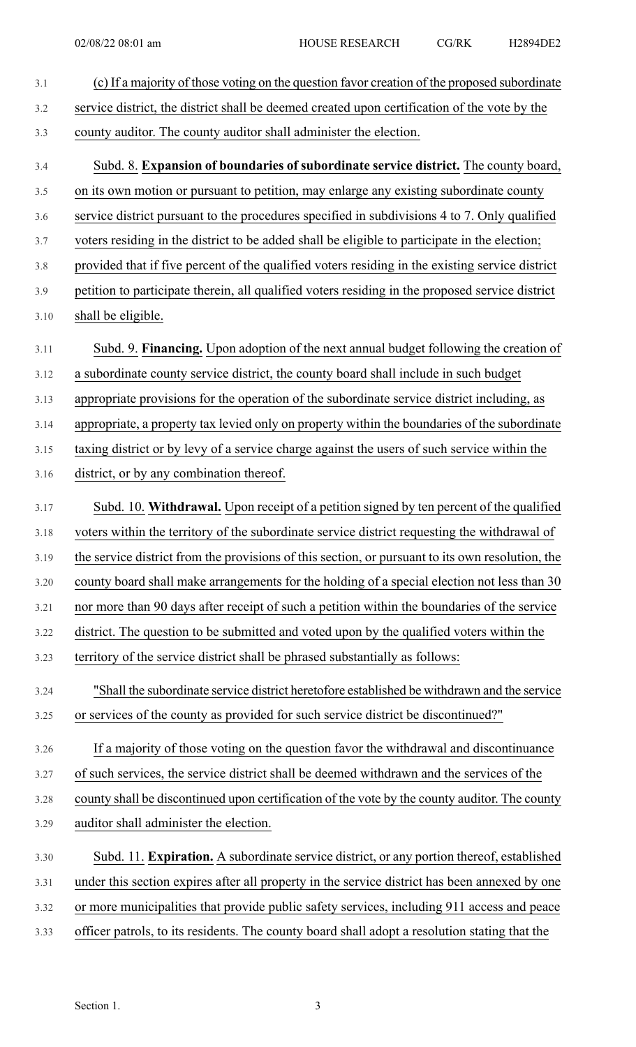| 3.1     | (c) If a majority of those voting on the question favor creation of the proposed subordinate     |
|---------|--------------------------------------------------------------------------------------------------|
| 3.2     | service district, the district shall be deemed created upon certification of the vote by the     |
| 3.3     | county auditor. The county auditor shall administer the election.                                |
| 3.4     | Subd. 8. Expansion of boundaries of subordinate service district. The county board,              |
| 3.5     | on its own motion or pursuant to petition, may enlarge any existing subordinate county           |
| 3.6     | service district pursuant to the procedures specified in subdivisions 4 to 7. Only qualified     |
| 3.7     | voters residing in the district to be added shall be eligible to participate in the election;    |
| $3.8\,$ | provided that if five percent of the qualified voters residing in the existing service district  |
| 3.9     | petition to participate therein, all qualified voters residing in the proposed service district  |
| 3.10    | shall be eligible.                                                                               |
| 3.11    | Subd. 9. Financing. Upon adoption of the next annual budget following the creation of            |
| 3.12    | a subordinate county service district, the county board shall include in such budget             |
| 3.13    | appropriate provisions for the operation of the subordinate service district including, as       |
| 3.14    | appropriate, a property tax levied only on property within the boundaries of the subordinate     |
| 3.15    | taxing district or by levy of a service charge against the users of such service within the      |
| 3.16    | district, or by any combination thereof.                                                         |
| 3.17    | Subd. 10. Withdrawal. Upon receipt of a petition signed by ten percent of the qualified          |
| 3.18    | voters within the territory of the subordinate service district requesting the withdrawal of     |
| 3.19    | the service district from the provisions of this section, or pursuant to its own resolution, the |
| 3.20    | county board shall make arrangements for the holding of a special election not less than 30      |
| 3.21    | nor more than 90 days after receipt of such a petition within the boundaries of the service      |
| 3.22    | district. The question to be submitted and voted upon by the qualified voters within the         |
| 3.23    | territory of the service district shall be phrased substantially as follows:                     |
| 3.24    | "Shall the subordinate service district heretofore established be withdrawn and the service      |
| 3.25    | or services of the county as provided for such service district be discontinued?"                |
| 3.26    | If a majority of those voting on the question favor the withdrawal and discontinuance            |
| 3.27    | of such services, the service district shall be deemed withdrawn and the services of the         |
| 3.28    | county shall be discontinued upon certification of the vote by the county auditor. The county    |
| 3.29    | auditor shall administer the election.                                                           |
| 3.30    | Subd. 11. Expiration. A subordinate service district, or any portion thereof, established        |
| 3.31    | under this section expires after all property in the service district has been annexed by one    |
| 3.32    | or more municipalities that provide public safety services, including 911 access and peace       |
| 3.33    | officer patrols, to its residents. The county board shall adopt a resolution stating that the    |
|         |                                                                                                  |